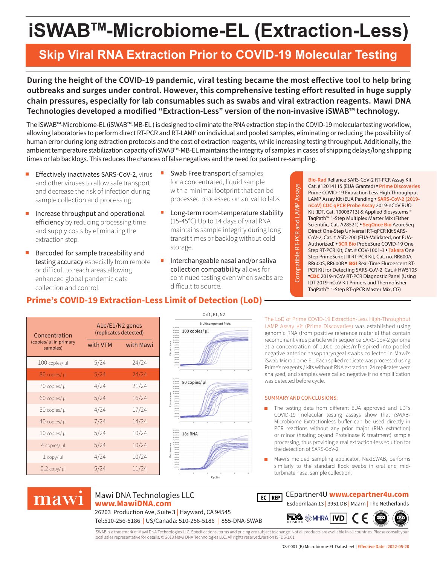# **iSWABTM-Microbiome-EL (Extraction-Less)**

## **Skip Viral RNA Extraction Prior to COVID-19 Molecular Testing**

**During the height of the COVID-19 pandemic, viral testing became the most effective tool to help bring outbreaks and surges under control. However, this comprehensive testing effort resulted in huge supply chain pressures, especially for lab consumables such as swabs and viral extraction reagents. Mawi DNA Technologies developed a modified "Extraction-Less" version of the non-invasive iSWAB™ technology.**

The iSWAB™-Microbiome-EL (iSWAB™-MB-EL ) is designed to eliminate the RNA extraction step in the COVID-19 molecular testing workflow, allowing laboratories to perform direct RT-PCR and RT-LAMP on individual and pooled samples, eliminating or reducing the possibility of human error during long extraction protocols and the cost of extraction reagents, while increasing testing throughput. Additionally, the ambient temperature stabilization capacity of iSWAB™-MB-EL maintains the integrity of samples in cases of shipping delays/long shipping times or lab backlogs. This reduces the chances of false negatives and the need for patient re-sampling.

- Ē. Effectively inactivates SARS-CoV-2, virus and other viruses to allow safe transport and decrease the risk of infection during sample collection and processing
- Increase throughput and operational  $\blacksquare$ efficiency by reducing processing time and supply costs by eliminating the extraction step.
- Barcoded for sample traceability and testing accuracy especially from remote or difficult to reach areas allowing enhanced global pandemic data collection and control.
- Swab Free transport of samples for a concentrated, liquid sample with a minimal footprint that can be processed processed on arrival to labs
- $\overline{\phantom{a}}$ Long-term room-temperature stability (15-45°C) Up to 14 days of viral RNA maintains sample integrity during long transit times or backlog without cold storage.
- Interchangeable nasal and/or saliva П collection compatibility allows for continued testing even when swabs are difficult to source.

**Bio-Rad** Reliance SARS-CoV-2 RT-PCR Assay Kit, Cat. #12014115 (EUA Granted) **Prime Discoveries** Prime COVID-19 Extraction Less High Throughput LAMP Assay Kit (EUA Pending **SARS-CoV-2 (2019 nCoV) CDC qPCR Probe Assay** 2019-nCoV RUO Kit (IDT, Cat. 10006713) & Applied Biosystems™ TaqPath™ 1-Step Multiplex Master Mix (Fisher Scientific, Cat. A28521) **SeqOnce Bio** AzureSeq Direct One-Step Universal RT-qPCR Kit SARS-CoV-2, Cat. # ASD-200 (EUA-Validated, not EUA-Authorized) **3CR Bio** ProbeSure COVID-19 One Step RT-PCR Kit, Cat. # COV-1001-3 **Takara** One Step PrimeScript III RT-PCR Kit, Cat. no. RR600A, RR600S, RR600B **BGI** Real-Time Fluroescent RT-PCR Kit for Detecting SARS-CoV-2 Cat. # HW5105 **CDC** 2019-nCoV RT-PCR Diagnostic Panel (Using IDT 2019-nCoV Kit Primers and Thermofisher TaqPath™ 1-Step RT-qPCR Master Mix, CG)

### **Prime's COVID-19 Extraction-Less Limit of Detection (LoD)**

| Concentration<br>(copies/ µl in primary<br>samples) | $A1e/E1/N2$ genes<br>(replicates detected) |           |
|-----------------------------------------------------|--------------------------------------------|-----------|
|                                                     | with VTM                                   | with Mawi |
| $100$ copies/ $\mu$ l                               | 5/24                                       | 24/24     |
| 80 copies/ µl                                       | 5/24                                       | 24/24     |
| 70 copies/ µl                                       | 4/24                                       | 21/24     |
| 60 copies/ µl                                       | 5/24                                       | 16/24     |
| 50 copies/ µl                                       | 4/24                                       | 17/24     |
| 40 copies/ µl                                       | 7/24                                       | 14/24     |
| $10$ copies/ $\mu$ l                                | 5/24                                       | 10/24     |
| $4$ copies/ $\mu$ l                                 | 5/24                                       | 10/24     |
| $1$ copy/ $\mu$                                     | 4/24                                       | 10/24     |
| $0.2$ copy/ $\mu$ l                                 | 5/24                                       | 11/24     |



The LoD of Prime COVID-19 Extraction-Less High-Throughput LAMP Assay Kit (Prime Discoveries) was established using genomic RNA (from positive reference material that contain recombinant virus particle with sequence SARS-CoV-2 genome at a concentration of 1,000 copies/ml) spiked into pooled negative anterior nasopharyngeal swabs collected in Mawi's iSwab-Microbiome-EL. Each spiked replicate was processed using Prime's reagents / kits without RNA extraction. 24 replicates were analyzed, and samples were called negative if no amplification was detected before cycle.

#### SUMMARY AND CONCLUSIONS:

Compatible RT-PCR and LAMP Assays

Compatible RT-PCR and LAMP

Assays

- The testing data from different EUA approved and LDTs COVID-19 molecular testing assays show that iSWAB-Microbiome Extractionless buffer can be used directly in PCR reactions without any prior major (RNA extraction) or minor (heating or/and Proteinase K treatment) sample processing, thus providing a real extraction-less solution for the detection of SARS-CoV-2
- Mawi's molded sampling applicator, NextSWAB, performs similarly to the standard flock swabs in oral and midturbinate nasal sample collection.

# mawi

### Mawi DNA Technologies LLC **www.MawiDNA.com**

26203 Production Ave, Suite 3 **|** Hayward, CA 94545 Tel:510-256-5186 **|** US/Canada: 510-256-5186 **|** 855-DNA-SWAB

CEpartner4U **www.cepartner4u.com**  $E$  REP

Esdoornlaan 13 **|** 3951 DB **|** Maarn **|** The Netherlands



iSWAB is a trademark of Mawi DNA Technologies LLC. Specifications, terms and pricing are subject to change. Not all products are available in all countries. Please consult your<br>local sales representative for details. © 201